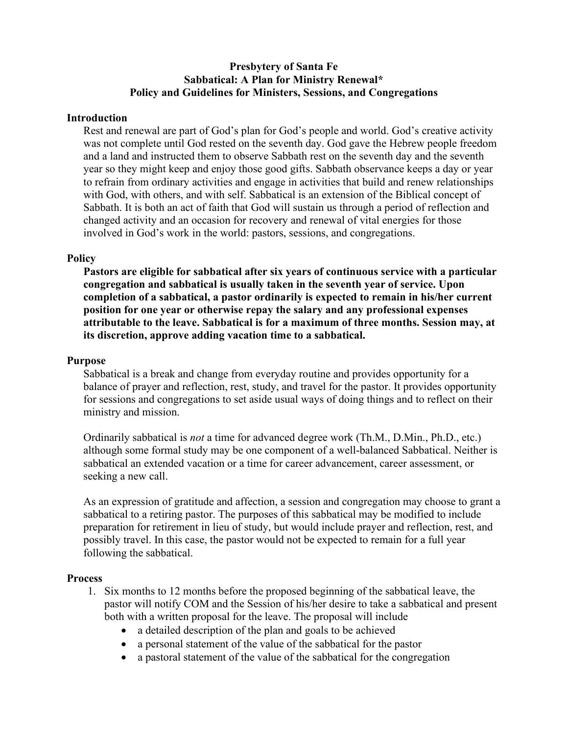## **Presbytery of Santa Fe Sabbatical: A Plan for Ministry Renewal\* Policy and Guidelines for Ministers, Sessions, and Congregations**

### **Introduction**

Rest and renewal are part of God's plan for God's people and world. God's creative activity was not complete until God rested on the seventh day. God gave the Hebrew people freedom and a land and instructed them to observe Sabbath rest on the seventh day and the seventh year so they might keep and enjoy those good gifts. Sabbath observance keeps a day or year to refrain from ordinary activities and engage in activities that build and renew relationships with God, with others, and with self. Sabbatical is an extension of the Biblical concept of Sabbath. It is both an act of faith that God will sustain us through a period of reflection and changed activity and an occasion for recovery and renewal of vital energies for those involved in God's work in the world: pastors, sessions, and congregations.

### **Policy**

**Pastors are eligible for sabbatical after six years of continuous service with a particular congregation and sabbatical is usually taken in the seventh year of service. Upon completion of a sabbatical, a pastor ordinarily is expected to remain in his/her current position for one year or otherwise repay the salary and any professional expenses attributable to the leave. Sabbatical is for a maximum of three months. Session may, at its discretion, approve adding vacation time to a sabbatical.**

### **Purpose**

Sabbatical is a break and change from everyday routine and provides opportunity for a balance of prayer and reflection, rest, study, and travel for the pastor. It provides opportunity for sessions and congregations to set aside usual ways of doing things and to reflect on their ministry and mission.

Ordinarily sabbatical is *not* a time for advanced degree work (Th.M., D.Min., Ph.D., etc.) although some formal study may be one component of a well-balanced Sabbatical. Neither is sabbatical an extended vacation or a time for career advancement, career assessment, or seeking a new call.

As an expression of gratitude and affection, a session and congregation may choose to grant a sabbatical to a retiring pastor. The purposes of this sabbatical may be modified to include preparation for retirement in lieu of study, but would include prayer and reflection, rest, and possibly travel. In this case, the pastor would not be expected to remain for a full year following the sabbatical.

### **Process**

- 1. Six months to 12 months before the proposed beginning of the sabbatical leave, the pastor will notify COM and the Session of his/her desire to take a sabbatical and present both with a written proposal for the leave. The proposal will include
	- a detailed description of the plan and goals to be achieved
	- a personal statement of the value of the sabbatical for the pastor
	- a pastoral statement of the value of the sabbatical for the congregation